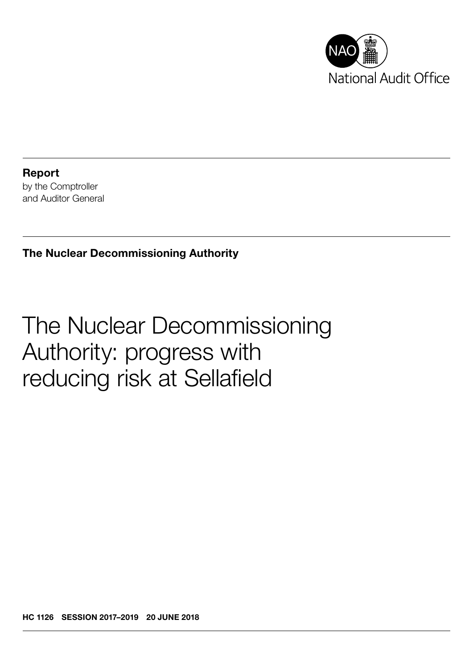

Report by the Comptroller and Auditor General

### The Nuclear Decommissioning Authority

# The Nuclear Decommissioning Authority: progress with reducing risk at Sellafield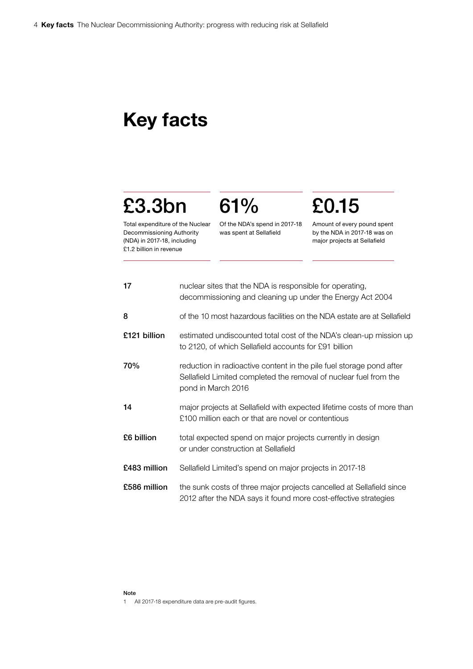## Key facts

## £3.3bn

Total expenditure of the Nuclear Decommissioning Authority (NDA) in 2017-18, including £1.2 billion in revenue

Of the NDA's spend in 2017-18 was spent at Sellafield

61%

# £0.15

Amount of every pound spent by the NDA in 2017-18 was on major projects at Sellafield

| 17           | nuclear sites that the NDA is responsible for operating,<br>decommissioning and cleaning up under the Energy Act 2004                                           |
|--------------|-----------------------------------------------------------------------------------------------------------------------------------------------------------------|
| 8            | of the 10 most hazardous facilities on the NDA estate are at Sellafield                                                                                         |
| £121 billion | estimated undiscounted total cost of the NDA's clean-up mission up<br>to 2120, of which Sellafield accounts for £91 billion                                     |
| 70%          | reduction in radioactive content in the pile fuel storage pond after<br>Sellafield Limited completed the removal of nuclear fuel from the<br>pond in March 2016 |
| 14           | major projects at Sellafield with expected lifetime costs of more than<br>£100 million each or that are novel or contentious                                    |
| £6 billion   | total expected spend on major projects currently in design<br>or under construction at Sellafield                                                               |
| £483 million | Sellafield Limited's spend on major projects in 2017-18                                                                                                         |
| £586 million | the sunk costs of three major projects cancelled at Sellafield since<br>2012 after the NDA says it found more cost-effective strategies                         |

#### Note

1 All 2017-18 expenditure data are pre-audit figures.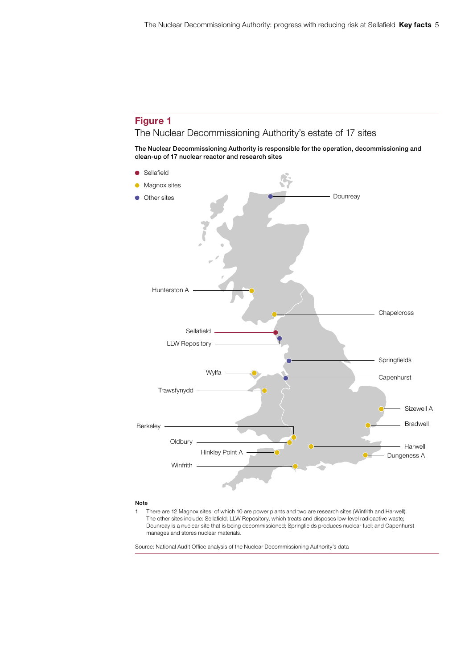#### Figure 1 The Nuclear Decommissioning Authority's estate of 17 sites

The Nuclear Decommissioning Authority is responsible for the operation, decommissioning and clean-up of 17 nuclear reactor and research sites



#### Note

1 There are 12 Magnox sites, of which 10 are power plants and two are research sites (Winfrith and Harwell). The other sites include: Sellafield; LLW Repository, which treats and disposes low-level radioactive waste; Dounreay is a nuclear site that is being decommissioned; Springfields produces nuclear fuel; and Capenhurst manages and stores nuclear materials.

Source: National Audit Office analysis of the Nuclear Decommissioning Authority's data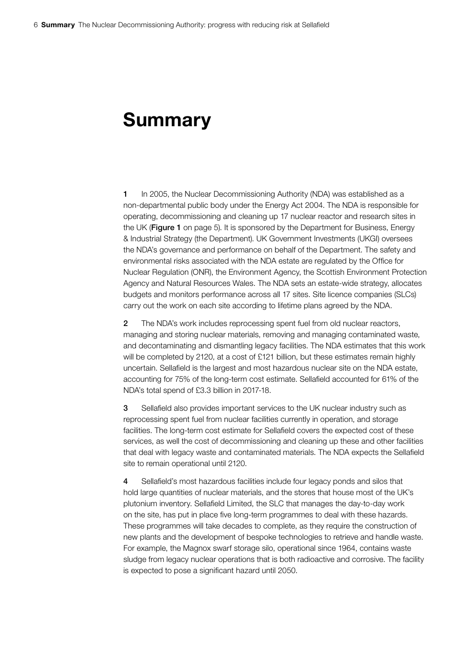### Summary

1 In 2005, the Nuclear Decommissioning Authority (NDA) was established as a non-departmental public body under the Energy Act 2004. The NDA is responsible for operating, decommissioning and cleaning up 17 nuclear reactor and research sites in the UK (Figure 1 on page 5). It is sponsored by the Department for Business, Energy & Industrial Strategy (the Department). UK Government Investments (UKGI) oversees the NDA's governance and performance on behalf of the Department. The safety and environmental risks associated with the NDA estate are regulated by the Office for Nuclear Regulation (ONR), the Environment Agency, the Scottish Environment Protection Agency and Natural Resources Wales. The NDA sets an estate-wide strategy, allocates budgets and monitors performance across all 17 sites. Site licence companies (SLCs) carry out the work on each site according to lifetime plans agreed by the NDA.

2 The NDA's work includes reprocessing spent fuel from old nuclear reactors, managing and storing nuclear materials, removing and managing contaminated waste, and decontaminating and dismantling legacy facilities. The NDA estimates that this work will be completed by 2120, at a cost of £121 billion, but these estimates remain highly uncertain. Sellafield is the largest and most hazardous nuclear site on the NDA estate, accounting for 75% of the long-term cost estimate. Sellafield accounted for 61% of the NDA's total spend of £3.3 billion in 2017-18.

3 Sellafield also provides important services to the UK nuclear industry such as reprocessing spent fuel from nuclear facilities currently in operation, and storage facilities. The long-term cost estimate for Sellafield covers the expected cost of these services, as well the cost of decommissioning and cleaning up these and other facilities that deal with legacy waste and contaminated materials. The NDA expects the Sellafield site to remain operational until 2120.

4 Sellafield's most hazardous facilities include four legacy ponds and silos that hold large quantities of nuclear materials, and the stores that house most of the UK's plutonium inventory. Sellafield Limited, the SLC that manages the day-to-day work on the site, has put in place five long-term programmes to deal with these hazards. These programmes will take decades to complete, as they require the construction of new plants and the development of bespoke technologies to retrieve and handle waste. For example, the Magnox swarf storage silo, operational since 1964, contains waste sludge from legacy nuclear operations that is both radioactive and corrosive. The facility is expected to pose a significant hazard until 2050.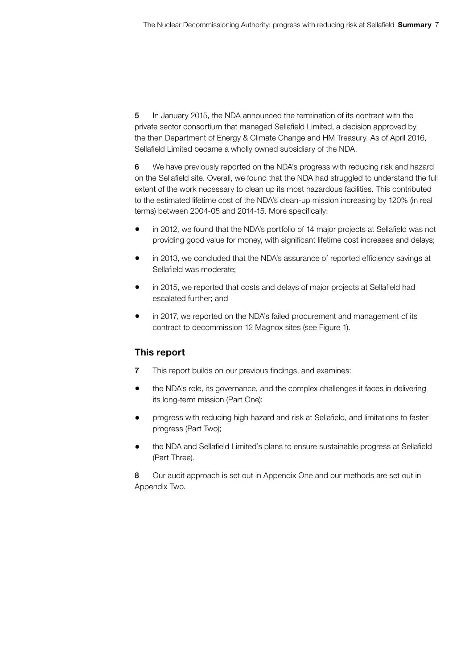5 In January 2015, the NDA announced the termination of its contract with the private sector consortium that managed Sellafield Limited, a decision approved by the then Department of Energy & Climate Change and HM Treasury. As of April 2016, Sellafield Limited became a wholly owned subsidiary of the NDA.

6 We have previously reported on the NDA's progress with reducing risk and hazard on the Sellafield site. Overall, we found that the NDA had struggled to understand the full extent of the work necessary to clean up its most hazardous facilities. This contributed to the estimated lifetime cost of the NDA's clean-up mission increasing by 120% (in real terms) between 2004-05 and 2014-15. More specifically:

- in 2012, we found that the NDA's portfolio of 14 major projects at Sellafield was not providing good value for money, with significant lifetime cost increases and delays;
- in 2013, we concluded that the NDA's assurance of reported efficiency savings at Sellafield was moderate;
- in 2015, we reported that costs and delays of major projects at Sellafield had escalated further; and
- in 2017, we reported on the NDA's failed procurement and management of its contract to decommission 12 Magnox sites (see Figure 1).

### This report

- 7 This report builds on our previous findings, and examines:
- the NDA's role, its governance, and the complex challenges it faces in delivering its long-term mission (Part One);
- progress with reducing high hazard and risk at Sellafield, and limitations to faster progress (Part Two);
- the NDA and Sellafield Limited's plans to ensure sustainable progress at Sellafield (Part Three).

8 Our audit approach is set out in Appendix One and our methods are set out in Appendix Two.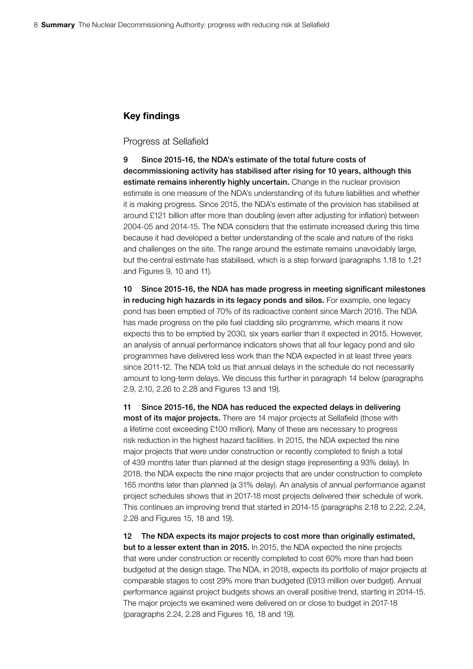#### Key findings

#### Progress at Sellafield

9 Since 2015-16, the NDA's estimate of the total future costs of decommissioning activity has stabilised after rising for 10 years, although this estimate remains inherently highly uncertain. Change in the nuclear provision estimate is one measure of the NDA's understanding of its future liabilities and whether it is making progress. Since 2015, the NDA's estimate of the provision has stabilised at around £121 billion after more than doubling (even after adjusting for inflation) between 2004-05 and 2014-15. The NDA considers that the estimate increased during this time because it had developed a better understanding of the scale and nature of the risks and challenges on the site. The range around the estimate remains unavoidably large, but the central estimate has stabilised, which is a step forward (paragraphs 1.18 to 1.21 and Figures 9, 10 and 11).

10 Since 2015-16, the NDA has made progress in meeting significant milestones in reducing high hazards in its legacy ponds and silos. For example, one legacy pond has been emptied of 70% of its radioactive content since March 2016. The NDA has made progress on the pile fuel cladding silo programme, which means it now expects this to be emptied by 2030, six years earlier than it expected in 2015. However, an analysis of annual performance indicators shows that all four legacy pond and silo programmes have delivered less work than the NDA expected in at least three years since 2011-12. The NDA told us that annual delays in the schedule do not necessarily amount to long-term delays. We discuss this further in paragraph 14 below (paragraphs 2.9, 2.10, 2.26 to 2.28 and Figures 13 and 19).

11 Since 2015-16, the NDA has reduced the expected delays in delivering most of its major projects. There are 14 major projects at Sellafield (those with a lifetime cost exceeding £100 million). Many of these are necessary to progress risk reduction in the highest hazard facilities. In 2015, the NDA expected the nine major projects that were under construction or recently completed to finish a total of 439 months later than planned at the design stage (representing a 93% delay). In 2018, the NDA expects the nine major projects that are under construction to complete 165 months later than planned (a 31% delay). An analysis of annual performance against project schedules shows that in 2017-18 most projects delivered their schedule of work. This continues an improving trend that started in 2014-15 (paragraphs 2.18 to 2.22, 2.24, 2.28 and Figures 15, 18 and 19).

12 The NDA expects its major projects to cost more than originally estimated, but to a lesser extent than in 2015. In 2015, the NDA expected the nine projects that were under construction or recently completed to cost 60% more than had been budgeted at the design stage. The NDA, in 2018, expects its portfolio of major projects at comparable stages to cost 29% more than budgeted (£913 million over budget). Annual performance against project budgets shows an overall positive trend, starting in 2014-15. The major projects we examined were delivered on or close to budget in 2017-18 (paragraphs 2.24, 2.28 and Figures 16, 18 and 19).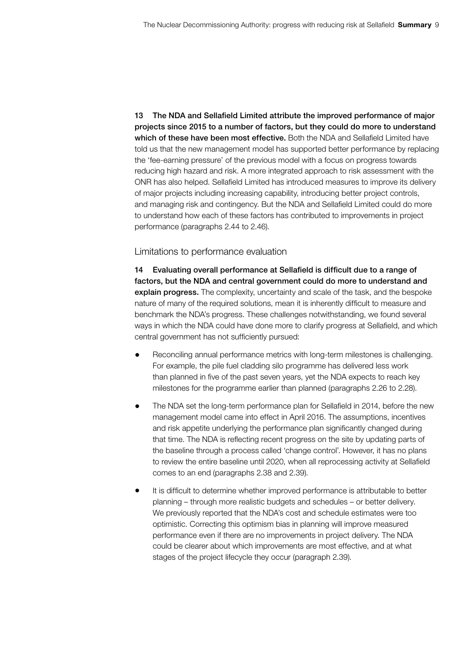13 The NDA and Sellafield Limited attribute the improved performance of major projects since 2015 to a number of factors, but they could do more to understand which of these have been most effective. Both the NDA and Sellafield Limited have told us that the new management model has supported better performance by replacing the 'fee-earning pressure' of the previous model with a focus on progress towards reducing high hazard and risk. A more integrated approach to risk assessment with the ONR has also helped. Sellafield Limited has introduced measures to improve its delivery of major projects including increasing capability, introducing better project controls, and managing risk and contingency. But the NDA and Sellafield Limited could do more to understand how each of these factors has contributed to improvements in project performance (paragraphs 2.44 to 2.46).

#### Limitations to performance evaluation

14 Evaluating overall performance at Sellafield is difficult due to a range of factors, but the NDA and central government could do more to understand and explain progress. The complexity, uncertainty and scale of the task, and the bespoke nature of many of the required solutions, mean it is inherently difficult to measure and benchmark the NDA's progress. These challenges notwithstanding, we found several ways in which the NDA could have done more to clarify progress at Sellafield, and which central government has not sufficiently pursued:

- Reconciling annual performance metrics with long-term milestones is challenging. For example, the pile fuel cladding silo programme has delivered less work than planned in five of the past seven years, yet the NDA expects to reach key milestones for the programme earlier than planned (paragraphs 2.26 to 2.28).
- The NDA set the long-term performance plan for Sellafield in 2014, before the new management model came into effect in April 2016. The assumptions, incentives and risk appetite underlying the performance plan significantly changed during that time. The NDA is reflecting recent progress on the site by updating parts of the baseline through a process called 'change control'. However, it has no plans to review the entire baseline until 2020, when all reprocessing activity at Sellafield comes to an end (paragraphs 2.38 and 2.39).
- It is difficult to determine whether improved performance is attributable to better planning – through more realistic budgets and schedules – or better delivery. We previously reported that the NDA's cost and schedule estimates were too optimistic. Correcting this optimism bias in planning will improve measured performance even if there are no improvements in project delivery. The NDA could be clearer about which improvements are most effective, and at what stages of the project lifecycle they occur (paragraph 2.39).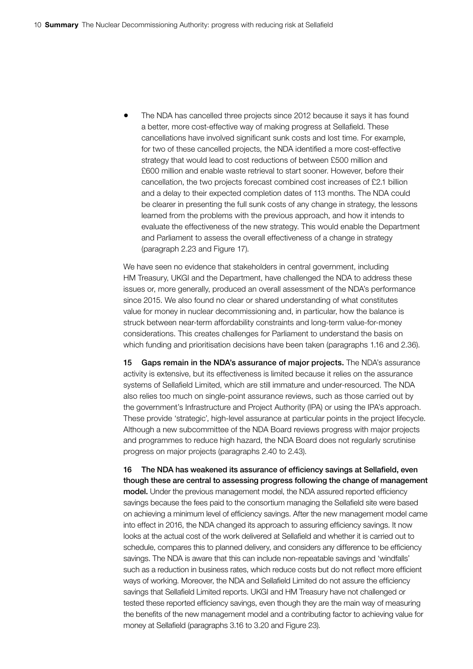• The NDA has cancelled three projects since 2012 because it says it has found a better, more cost-effective way of making progress at Sellafield. These cancellations have involved significant sunk costs and lost time. For example, for two of these cancelled projects, the NDA identified a more cost-effective strategy that would lead to cost reductions of between £500 million and £600 million and enable waste retrieval to start sooner. However, before their cancellation, the two projects forecast combined cost increases of £2.1 billion and a delay to their expected completion dates of 113 months. The NDA could be clearer in presenting the full sunk costs of any change in strategy, the lessons learned from the problems with the previous approach, and how it intends to evaluate the effectiveness of the new strategy. This would enable the Department and Parliament to assess the overall effectiveness of a change in strategy (paragraph 2.23 and Figure 17).

We have seen no evidence that stakeholders in central government, including HM Treasury, UKGI and the Department, have challenged the NDA to address these issues or, more generally, produced an overall assessment of the NDA's performance since 2015. We also found no clear or shared understanding of what constitutes value for money in nuclear decommissioning and, in particular, how the balance is struck between near-term affordability constraints and long-term value-for-money considerations. This creates challenges for Parliament to understand the basis on which funding and prioritisation decisions have been taken (paragraphs 1.16 and 2.36).

15 Gaps remain in the NDA's assurance of major projects. The NDA's assurance activity is extensive, but its effectiveness is limited because it relies on the assurance systems of Sellafield Limited, which are still immature and under-resourced. The NDA also relies too much on single-point assurance reviews, such as those carried out by the government's Infrastructure and Project Authority (IPA) or using the IPA's approach. These provide 'strategic', high-level assurance at particular points in the project lifecycle. Although a new subcommittee of the NDA Board reviews progress with major projects and programmes to reduce high hazard, the NDA Board does not regularly scrutinise progress on major projects (paragraphs 2.40 to 2.43).

16 The NDA has weakened its assurance of efficiency savings at Sellafield, even though these are central to assessing progress following the change of management model. Under the previous management model, the NDA assured reported efficiency savings because the fees paid to the consortium managing the Sellafield site were based on achieving a minimum level of efficiency savings. After the new management model came into effect in 2016, the NDA changed its approach to assuring efficiency savings. It now looks at the actual cost of the work delivered at Sellafield and whether it is carried out to schedule, compares this to planned delivery, and considers any difference to be efficiency savings. The NDA is aware that this can include non-repeatable savings and 'windfalls' such as a reduction in business rates, which reduce costs but do not reflect more efficient ways of working. Moreover, the NDA and Sellafield Limited do not assure the efficiency savings that Sellafield Limited reports. UKGI and HM Treasury have not challenged or tested these reported efficiency savings, even though they are the main way of measuring the benefits of the new management model and a contributing factor to achieving value for money at Sellafield (paragraphs 3.16 to 3.20 and Figure 23).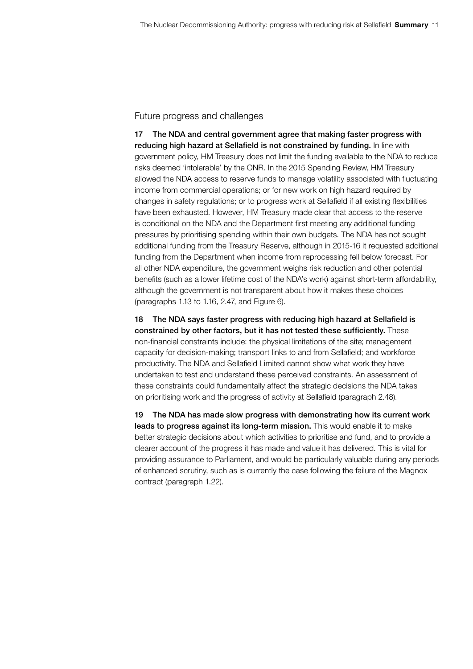#### Future progress and challenges

17 The NDA and central government agree that making faster progress with reducing high hazard at Sellafield is not constrained by funding. In line with government policy, HM Treasury does not limit the funding available to the NDA to reduce risks deemed 'intolerable' by the ONR. In the 2015 Spending Review, HM Treasury allowed the NDA access to reserve funds to manage volatility associated with fluctuating income from commercial operations; or for new work on high hazard required by changes in safety regulations; or to progress work at Sellafield if all existing flexibilities have been exhausted. However, HM Treasury made clear that access to the reserve is conditional on the NDA and the Department first meeting any additional funding pressures by prioritising spending within their own budgets. The NDA has not sought additional funding from the Treasury Reserve, although in 2015-16 it requested additional funding from the Department when income from reprocessing fell below forecast. For all other NDA expenditure, the government weighs risk reduction and other potential benefits (such as a lower lifetime cost of the NDA's work) against short-term affordability, although the government is not transparent about how it makes these choices (paragraphs 1.13 to 1.16, 2.47, and Figure 6).

18 The NDA says faster progress with reducing high hazard at Sellafield is constrained by other factors, but it has not tested these sufficiently. These non-financial constraints include: the physical limitations of the site; management capacity for decision-making; transport links to and from Sellafield; and workforce productivity. The NDA and Sellafield Limited cannot show what work they have undertaken to test and understand these perceived constraints. An assessment of these constraints could fundamentally affect the strategic decisions the NDA takes on prioritising work and the progress of activity at Sellafield (paragraph 2.48).

19 The NDA has made slow progress with demonstrating how its current work leads to progress against its long-term mission. This would enable it to make better strategic decisions about which activities to prioritise and fund, and to provide a clearer account of the progress it has made and value it has delivered. This is vital for providing assurance to Parliament, and would be particularly valuable during any periods of enhanced scrutiny, such as is currently the case following the failure of the Magnox contract (paragraph 1.22).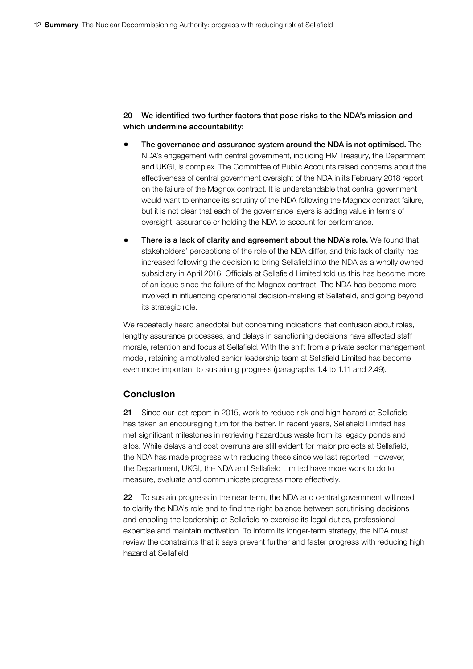20 We identified two further factors that pose risks to the NDA's mission and which undermine accountability:

- The governance and assurance system around the NDA is not optimised. The NDA's engagement with central government, including HM Treasury, the Department and UKGI, is complex. The Committee of Public Accounts raised concerns about the effectiveness of central government oversight of the NDA in its February 2018 report on the failure of the Magnox contract. It is understandable that central government would want to enhance its scrutiny of the NDA following the Magnox contract failure, but it is not clear that each of the governance layers is adding value in terms of oversight, assurance or holding the NDA to account for performance.
- There is a lack of clarity and agreement about the NDA's role. We found that stakeholders' perceptions of the role of the NDA differ, and this lack of clarity has increased following the decision to bring Sellafield into the NDA as a wholly owned subsidiary in April 2016. Officials at Sellafield Limited told us this has become more of an issue since the failure of the Magnox contract. The NDA has become more involved in influencing operational decision-making at Sellafield, and going beyond its strategic role.

We repeatedly heard anecdotal but concerning indications that confusion about roles, lengthy assurance processes, and delays in sanctioning decisions have affected staff morale, retention and focus at Sellafield. With the shift from a private sector management model, retaining a motivated senior leadership team at Sellafield Limited has become even more important to sustaining progress (paragraphs 1.4 to 1.11 and 2.49).

#### Conclusion

21 Since our last report in 2015, work to reduce risk and high hazard at Sellafield has taken an encouraging turn for the better. In recent years, Sellafield Limited has met significant milestones in retrieving hazardous waste from its legacy ponds and silos. While delays and cost overruns are still evident for major projects at Sellafield, the NDA has made progress with reducing these since we last reported. However, the Department, UKGI, the NDA and Sellafield Limited have more work to do to measure, evaluate and communicate progress more effectively.

22 To sustain progress in the near term, the NDA and central government will need to clarify the NDA's role and to find the right balance between scrutinising decisions and enabling the leadership at Sellafield to exercise its legal duties, professional expertise and maintain motivation. To inform its longer-term strategy, the NDA must review the constraints that it says prevent further and faster progress with reducing high hazard at Sellafield.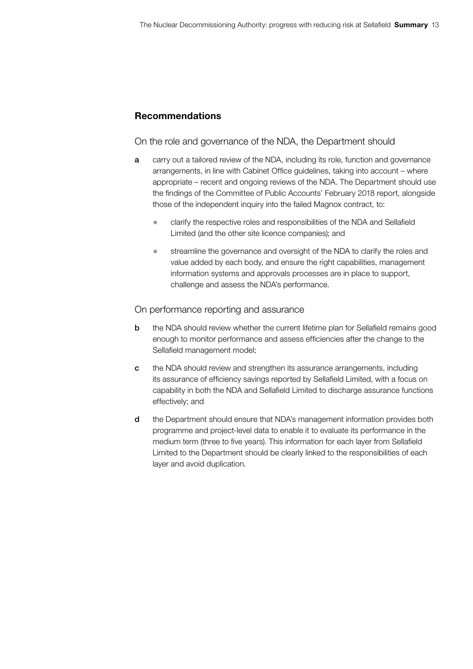### Recommendations

On the role and governance of the NDA, the Department should

- a carry out a tailored review of the NDA, including its role, function and governance arrangements, in line with Cabinet Office guidelines, taking into account – where appropriate – recent and ongoing reviews of the NDA. The Department should use the findings of the Committee of Public Accounts' February 2018 report, alongside those of the independent inquiry into the failed Magnox contract, to:
	- clarify the respective roles and responsibilities of the NDA and Sellafield Limited (and the other site licence companies); and
	- streamline the governance and oversight of the NDA to clarify the roles and value added by each body, and ensure the right capabilities, management information systems and approvals processes are in place to support, challenge and assess the NDA's performance.

#### On performance reporting and assurance

- **b** the NDA should review whether the current lifetime plan for Sellafield remains good enough to monitor performance and assess efficiencies after the change to the Sellafield management model;
- c the NDA should review and strengthen its assurance arrangements, including its assurance of efficiency savings reported by Sellafield Limited, with a focus on capability in both the NDA and Sellafield Limited to discharge assurance functions effectively; and
- d the Department should ensure that NDA's management information provides both programme and project-level data to enable it to evaluate its performance in the medium term (three to five years). This information for each layer from Sellafield Limited to the Department should be clearly linked to the responsibilities of each layer and avoid duplication.